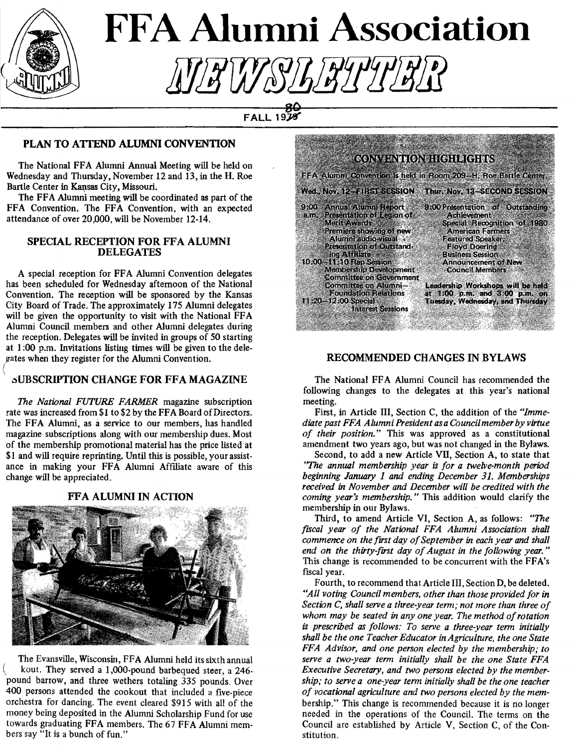

# **FFA Alumni Association** *!iY!iW&!liliJlJlli!Ji*

 $FALL$ 19 $\overline{19}$ 

### PLAN TO ATTEND ALUMNI CONVENTION

The National FFA Alumni Annual Meeting will be held on Wednesday and Thursday, November 12 and 13, in the H. Roe Bartle Center in Kansas City, Missouri.

The FFA Alumni meeting will be coordinated as part of the FFA Convention. The FFA Convention, with an expected attendance of over 20,000, will be November 12-14.

### SPECIAL RECEPTION FOR FFA ALUMNI DELEGATES

( A special reception for FFA Alumni Convention delegates has been scheduled for Wednesday afternoon of the National Convention. The reception will be sponsored by the Kansas City Board of Trade. The approximately 175 Alumni delegates will be given the opportunity to visit with the National FFA Alumni Council members and other Alumni delegates during the reception. Delegates will be invited in groups of 50 starting at 1 :00 p.m. Invitations listing times will be given to the delegates when they register for the Alumni Convention.

### .sUBSCRIPTION CHANGE FOR FF A MAGAZINE

*The National FUTURE FARMER* magazine subscription rate was increased from \$1 to \$2 by the FFA Board of Directors. The FFA Alumni, as a service to our members, has handled magazine subscriptions along with our membership dues. Most of the membership promotional material has the price listed at \$1 and will require reprinting. Until this is possible, your assistance in making your FFA Alumni Affiliate aware of this change will be appreciated.

### FFA ALUMNI IN ACTION



The Evansville, Wisconsin, FFA Alumni held its sixth annual , kout. They served a 1,000-pound barbequed steer, a 246 pound barrow, and three wethers totaling 335 pounds, Over 400 persons attended the cookout that included a five-piece orchestra for dancing. The event cleared \$915 with all of the money being deposited in the Alumni Scholarship Fund for use towards graduating FFA members. The 67 FFA Alumni members say "It is a bunch of fun."



### RECOMMENDED CHANGES IN BYLAWS

The National FFA Alumni Council has recommended the following changes to the delegates at this year's national meeting.

First, in Article III, Section C, the addition of the *"Immediate past FFA Alumni President as a Council member by virtue of their position."* This was approved as a constitutional amendment two years ago, but was not changed in the Bylaws.

Second, to add a new Article Vll, Section A, to state that *'The annual membership year* is *for a twelve-month period beginning January 1 and ending December 31. Memberships received in November* and *December will be credited with the coming year's membership.* " This addition would clarify the membership in our Bylaws.

Third, to amend Article VI, Section A, as follows: *"The fiscal year of the National FFA Alumni Association shall commence on the first day of September in each year and shall* end on the thirty-first day of August in the following year." This change is recommended to be concurrent with the FFA's fiscal year.

Fourth, to recommend that Article III, Section D, be deleted. *"All voting Council members, other than those provided for in Section C, shall serve a three-year term; not more than three of whom may be seated in any one year. The method of rotation*  is *prescribed as follows: To serve a three-year term initially shall be the one Teacher Educator in Agriculture, the one State FFA Advisor, and one person elected by the membership; to*  serve a two-year term initially shall be the one State FFA *Executive Secretary, and two persons elected by the membership; to serve a one-year term initially shall be the one teacher of vocational agriculture and two persons elected by the mem*bership." This change is recommended because it is no longer needed in the operations of the Council. The terms on the Council are established by Article V, Section C, of the Constitution.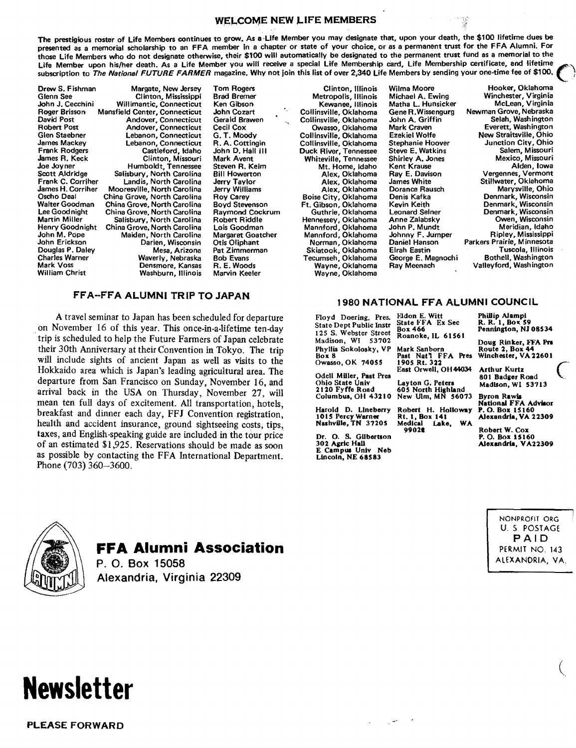### WELCOME NEW LIFE MEMBERS

The prestigious roster of Life Members continues to grow. As a Life Member you may designate that, upon your death, the \$100 lifetime dues be presented as a memorial seholarship to an FFA member In a chapter or state of your choice, or as a permanent trust for the FFA Alumni. For those Life Members who do not designate otherwise, their \$100 will automatically be designated to the permanent trust fund as a memorial to the Life Member upon his/her death. As a Life Member you will receive a special Life Membership card, Life Membership certificate, and lifetime subscription to The National FUTURE FARMER magazine. Why not join this list of over 2,340 Life Members by sending your one-time fee of \$100.

Drew S. Fishman Margate, New Jersey Tom Rogers Clinton, Illinois Wilma Moore Hooker, Oklahoma Glenn See Clinton, Mississippi Brad Bremer Metropolis, Illinois Michael A. Ewing Winchester, Virginia<br>John J. Cecchini Willimantic, Connecticut Ken Gibson Kewanee. Illinois Matha L. Hunsicker McLean, Virginia John J. Cecchini Willimantic, Connecticut Ken Gibson Kewanee, Illinois Matha L. Hunsicker Mclean, Virginia Roger Brisson Mansfield Center, Connecticut John Cozart Collinsville, Oklahoma Gene R.Wissengurg Newman Grove, Nebraska<br>David Post Andover, Connecticut Gerald Brawen Collinsville, Oklahoma John A. Griffin Selah, Washington David Post Andover, Connecticut Gerald Brewen Collinsville, Oklahoma John A. Griffin Selah, Washington Robert Post Andover, Connecticut Cecil Cox Owasso, Oklahoma Mark Craven Everett, Washington Glen Staebner Lebanon, Connecticut G. T. Moody Collinsville, Oklahoma Ezekiel Wolfe New Straitsville, Ohio James Mackey Lebanon, Connecticut R. A. Cottingin Collinsville, Oklahoma Stephanie Hoover Junction City, Ohio Frank Rodgers Castleford, Idaho John 0. Hall Ill Duck River, Tennessee Steve E. Watkins Salem, Missouri James R. Keck Clinton, Missouri Mark Avent Whiteville, Tennessee Shirley A. Jones Mexico, Missouri Joe Joyner Humboldt, Tennessee Steven R. Keim Mt. Home, Idaho Kent Krause Alden, Iowa Scott Aldridge Salisbury, North Carolina Bill Howerton Alex, Oklahoma Ray E. Davison Vergennes, Vermont<br>Stank C. Corriher Landis, North Carolina Jerry Taylor Alex, Oklahoma James White Stillwater, Oklahoma<br>James H. Corrihe Frank C. Corriher Landis, North Carolina Jerry Taylor (Alex, Oklahoma James White Stillwater, Oklahoma Jerry Taylor<br>James H. Corriher Mooresville, North Carolina Jerry Williams Alex, Oklahoma Dorance Rausch Marysville, Ohi James H. Corriher Mooresville, North Carolina Jerry Williams Alex, Oklahoma Dorance Rausch Marysville, Ohio Oscho Deal China Grove, North Carolina Roy Carey Boise City, Oklahoma Denis Kafka Denmark, Wisconsin China Grove, North Carolina China Boy Carey Boise City, Oklahoma Denis Kafka Denmark, Wisconsin<br>Walter Goodman China Grove, North Carolina Boyd Stevenson Ft. Gibson, Oklahoma Kevin Keith Denmark, Wisconsin<br>Lee Goodnight Ch Lee Goodnight China Grove, North Carolina Raymond Cockrum Guthrie, Oklahoma Leonard Seiner Denmark, Wisconsin Martin Miller Salisbury, North Carolina Robert Riddle Hennessey, Oklahoma Anne Zalabsky Owen, Wisconsin Henry Goodnight China Grove, North Carolina Lois Goodman Mannford, Oklahoma John P. Mundt Meridian, Idaho Meridian, Idaho<br>John M. Pope Maiden, North Carolina Margaret Goatcher Mannford, Oklahoma Johnny F. Jumper Ripley, Mi John M. Pope Maiden, North Carolina Margaret Goatcher Mannford, Oklahoma Johnny F. Jumper Ripley, Mississippi John Erickson Darien, Wisconsin Otis Oliphant Norman, Oklahoma Daniel Hanson Parkers Prairie, Minnesota Douglas P. Daley Mesa, Arizona Pat Zimmerman Skiatook, Oklahoma Elrah Eastin Tuscola, Illinois Charles Warner **Waverly, Nebraska Bob Evans Tecumseh, Oklahoma** George E. Magnochi Bothell, Waverly, Nebraska Bob Evans Tecumseh, Oklahoma Ray Meenach<br>Mark Voss Thell, Mark Voss Densmore, Kansas R. E. Woods Wayne, Oklahoma Mark Voss Censillon Control Constitution Constitution and Mark Voss Valleyford, Washington Wark Valleyford, Washington Wayne, Oklahoma Ray Meenach Valleyford, Washington William Christ Washington Washington Wavne, Oklahoma

# FFA-FFA ALUMNI TRIP TO JAPAN 1980 NATIONAL FFA ALUMNI COUNCIL

A travel seminar to Japan has been scheduled for departure Floyd Doering, Pres. . on November 16 of this year. This once-in-a-lifetime ten-day trip is scheduled to help the future Farmers of Japan celebrate their 30th Anniversary at their Convention in Tokyo. The trip will include sights of ancient Japan as well as visits to the Hokkaido area which is Japan's leading agricultural area. The departure from San Francisco on Sunday, November 16, and arrival back in the USA on Thursday, November 27, will mean ten full days of excitement. All transportation, hotels, breakfast and dinner each day, FFJ Convention registration, health and accident insurance, ground sightseeing costs, tips, taxes, and English-speaking guide are included in the tour price. of an estimated \$1,925. Reservations should be made as soon as possible by contacting the FFA International Department. Phone (703) 360-3600.

Wayne, Oklahoma

Box 466

99022

State Dept Public Instr 125 S. Webster Street Madison, WI 53702 Phyllis Sokolosky, VP Box 8<br>Owasso, OK 74055 Past Nat'l FFA Pres Winchester, VA22601 Owasso, OK 74055 1905 Rt. 322 *(* 

East Orwell, OH44034 Arthur Kurtz<br>Odell Miller, Past Pres East Orwell, OH44034 arthur Kurtz<br>Ohio State Univ Layton G. Peters Madison WI 537 Ohio State Univ Layton G. Peters Madison, WI 53713

Harold D. Lineberry Robert H. Holloway 1015 Percy Warner Rt. t, Box 141 Nashville, TN 37205 Dr. O. S. Gilbertson

302 Agric Hall E Campus Univ Nob Lincoln, NE 68583

Eldon E. Witt State FFA Ex Sec Roanoke, IL 61561 Phillip Alampi  $R$ ,  $R$ ,  $1$ ,  $B$ ox; Pennington, NJ 08534 Doug Rinker, FFA Pn Mark Sanborn Route 2, Box 44<br>Past Nat1 FFA Pres Winchester, VA 22601

2120 Fyffe Road 605 North Highland Columbus, OH 43210 New Ulm, MJil 56073 Byron Rawla

National FFA Advisor<br>P. O. Box 15160<br>Alexandria, VA 22309

Robert W. Cox P.O. Box 15160 Alexandria, VA22309

> NONPROFIT ORG U. *S.* POSTAGE PAID PERMIT NO. 143 ALEXANDRIA, VA.

> > $\left(\right)$



### **FFA Alumni Association**

P. 0. Box 15058 Alexandria, Virginia 22309



PLEASE FORWARD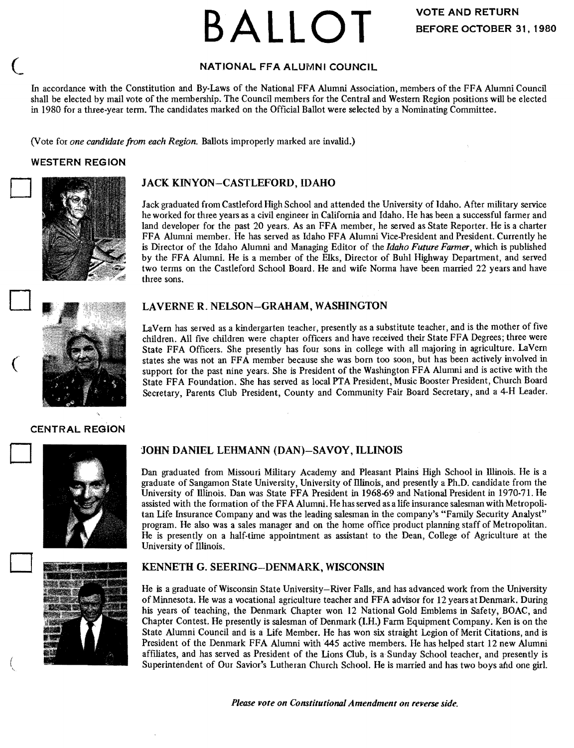# **BALLOT**

### NATIONAL FFA ALUMNI COUNCIL

In accordance with the Constitution and By-Laws of the National FFA Alumni Association, members of the FFA Alumni Council shall be elected by mail vote of the membership. The Council members for the Central and Western Region positions will be elected in 1980 for a three-year term. The candidates marked on the Official Ballot were selected by a Nominating Committee.

*(Vote for one candidate from each Region. Ballots improperly marked are invalid.)* 

### WESTERN REGION



### JACK KINYON-CASTLEFORD, IDAHO

Jack graduated from Castleford High School and attended the University of Idaho. After military service he worked for three years as a civil engineer in California and Idaho. He has been a successful farmer and land developer for the past 20 years. As an FFA member, he served as State Reporter. He is a charter FFA Alumni member. He has served as Idaho FFA Alumni Vice-President and President. Currently he is Director of the Idaho Alumni and Managing Editor of the *Idaho Future Farmer,* which is published by the FFA Alumni. He is a member of the Elks, Director of Buhl Highway Department, and served two terms on the Castleford School Board. He and wife Norma have been married 22 years and have three sons.



 $\big($ 

D

D

( ~

### LAVERNE R. NELSON-GRAHAM, WASHINGTON

La Vern has served as a kindergarten teacher, presently as a substitute teacher, and is the mother of five children. All five children were chapter officers and have received their State FF A Degrees; three were State FFA Officers. She presently has four sons in college with all majoring in agriculture. LaVern states she was not an FF A member because she was born too soon, but has been actively involved in support for the past nine years. She is President of the Washington FFA Alumni and is active with the State FFA Foundation. She has served as local PTA President, Music Booster President, Church Board Secretary, Parents Club President, County and Community Fair Board Secretary, and a 4-H Leader.

#### CENTRAL REGION





### JOHN DANIEL LEHMANN (DAN)-SA VOY, ILLINOIS

Dan graduated from Missouri Military Academy and Pleasant Plains High School in Illinois. He is a graduate of Sangamon State University, University of Illinois, and presently a Ph.D. candidate from the University of Illinois. Dan was State FF A President in 1968-69 and National President in 1970-71. He assisted with the formation of the FFA Alumni. He has served as a life insurance salesman with Metropolitan Life Insurance Company and was the leading salesman in the company's "Family Security Analyst" program. He also was a sales manager and on the home office product planning staff of Metropolitan. He is presently on a half-time appointment as assistant to the Dean, College of Agriculture at the University of Illinois.

### KENNETH G. SEERING-DENMARK, WISCONSIN

He is a graduate of Wisconsin State University-River Falls, and has advanced work from the University of Minnesota. He was a vocational agriculture teacher and FFA advisor for 12 years at Denmark. During his years of teaching, the Denmark Chapter won 12 National Gold Emblems in Safety, BOAC, and Chapter Contest. He presently is salesman of Denmark (U:I.) Farm Equipment Company. Ken is on the State Alumni Council and is a Life Member. He has won six straight Legion of Merit Citations, and is President of the Denmark FFA Alumni with 445 active members. He has helped start 12 new Alumni affiliates, and has served as President of the Lions Club, is a Sunday School teacher, and presently is Superintendent of Our Savior's Lutheran Church School. He is married and has two boys and one girl.